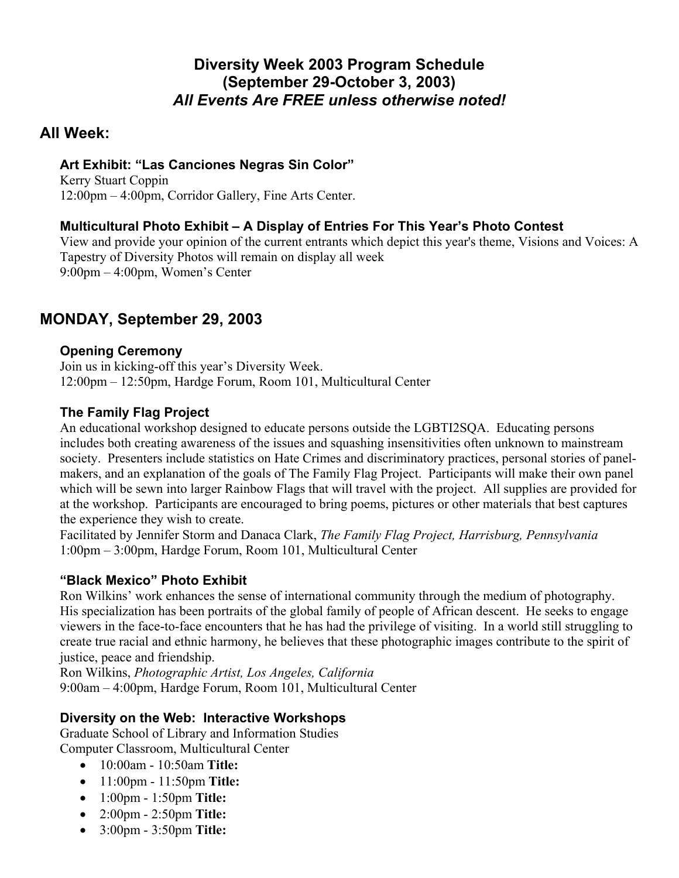# **Diversity Week 2003 Program Schedule (September 29-October 3, 2003)**  *All Events Are FREE unless otherwise noted!*

# **All Week:**

### **Art Exhibit: "Las Canciones Negras Sin Color"**

Kerry Stuart Coppin 12:00pm – 4:00pm, Corridor Gallery, Fine Arts Center.

# **Multicultural Photo Exhibit – A Display of Entries For This Year's Photo Contest**

View and provide your opinion of the current entrants which depict this year's theme, Visions and Voices: A Tapestry of Diversity Photos will remain on display all week 9:00pm – 4:00pm, Women's Center

# **MONDAY, September 29, 2003**

## **Opening Ceremony**

Join us in kicking-off this year's Diversity Week. 12:00pm – 12:50pm, Hardge Forum, Room 101, Multicultural Center

## **The Family Flag Project**

An educational workshop designed to educate persons outside the LGBTI2SQA. Educating persons includes both creating awareness of the issues and squashing insensitivities often unknown to mainstream society. Presenters include statistics on Hate Crimes and discriminatory practices, personal stories of panelmakers, and an explanation of the goals of The Family Flag Project. Participants will make their own panel which will be sewn into larger Rainbow Flags that will travel with the project. All supplies are provided for at the workshop. Participants are encouraged to bring poems, pictures or other materials that best captures the experience they wish to create.

Facilitated by Jennifer Storm and Danaca Clark, *The Family Flag Project, Harrisburg, Pennsylvania* 1:00pm – 3:00pm, Hardge Forum, Room 101, Multicultural Center

## **"Black Mexico" Photo Exhibit**

Ron Wilkins' work enhances the sense of international community through the medium of photography. His specialization has been portraits of the global family of people of African descent. He seeks to engage viewers in the face-to-face encounters that he has had the privilege of visiting. In a world still struggling to create true racial and ethnic harmony, he believes that these photographic images contribute to the spirit of justice, peace and friendship.

Ron Wilkins, *Photographic Artist, Los Angeles, California* 9:00am – 4:00pm, Hardge Forum, Room 101, Multicultural Center

## **Diversity on the Web: Interactive Workshops**

Graduate School of Library and Information Studies Computer Classroom, Multicultural Center

- 10:00am 10:50am **Title:**
- 11:00pm 11:50pm **Title:**
- 1:00pm 1:50pm **Title:**
- 2:00pm 2:50pm **Title:**
- 3:00pm 3:50pm **Title:**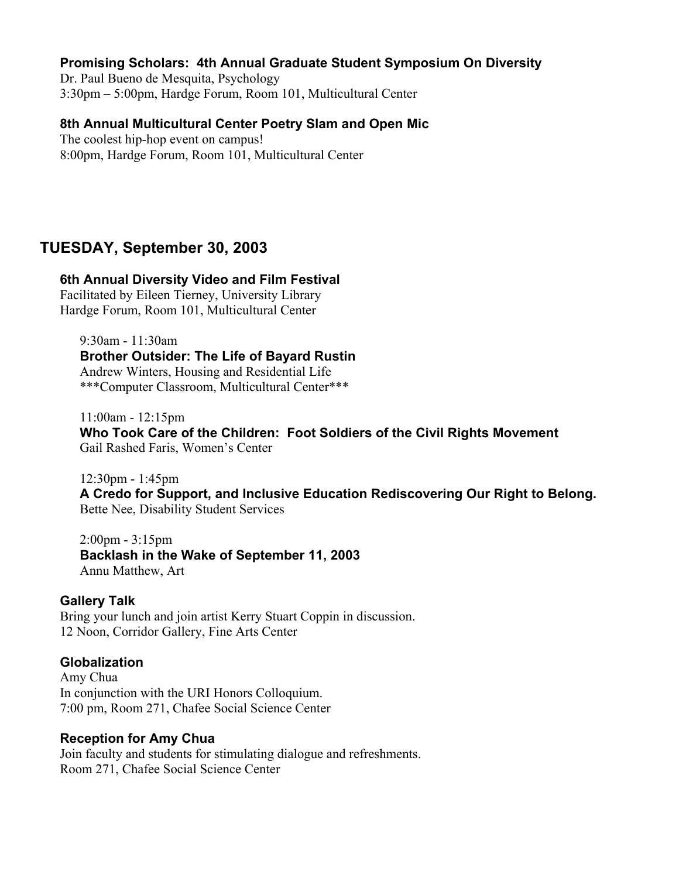### **Promising Scholars: 4th Annual Graduate Student Symposium On Diversity**

Dr. Paul Bueno de Mesquita, Psychology 3:30pm – 5:00pm, Hardge Forum, Room 101, Multicultural Center

### **8th Annual Multicultural Center Poetry Slam and Open Mic**

The coolest hip-hop event on campus! 8:00pm, Hardge Forum, Room 101, Multicultural Center

## **TUESDAY, September 30, 2003**

#### **6th Annual Diversity Video and Film Festival**

Facilitated by Eileen Tierney, University Library Hardge Forum, Room 101, Multicultural Center

9:30am - 11:30am **Brother Outsider: The Life of Bayard Rustin** Andrew Winters, Housing and Residential Life \*\*\*Computer Classroom, Multicultural Center\*\*\*

11:00am - 12:15pm **Who Took Care of the Children: Foot Soldiers of the Civil Rights Movement** Gail Rashed Faris, Women's Center

12:30pm - 1:45pm **A Credo for Support, and Inclusive Education Rediscovering Our Right to Belong.** Bette Nee, Disability Student Services

2:00pm - 3:15pm **Backlash in the Wake of September 11, 2003** Annu Matthew, Art

#### **Gallery Talk**

Bring your lunch and join artist Kerry Stuart Coppin in discussion. 12 Noon, Corridor Gallery, Fine Arts Center

### **Globalization**

Amy Chua In conjunction with the URI Honors Colloquium. 7:00 pm, Room 271, Chafee Social Science Center

#### **Reception for Amy Chua**

Join faculty and students for stimulating dialogue and refreshments. Room 271, Chafee Social Science Center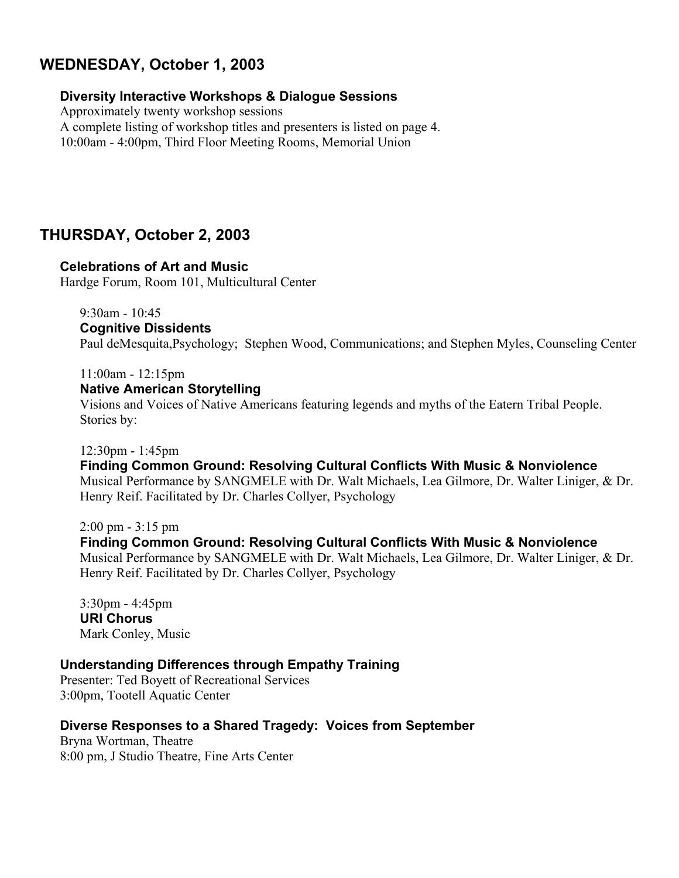# **WEDNESDAY, October 1, 2003**

### **Diversity Interactive Workshops & Dialogue Sessions**

Approximately twenty workshop sessions A complete listing of workshop titles and presenters is listed on page 4. 10:00am - 4:00pm, Third Floor Meeting Rooms, Memorial Union

# **THURSDAY, October 2, 2003**

### **Celebrations of Art and Music**

Hardge Forum, Room 101, Multicultural Center

9:30am - 10:45 **Cognitive Dissidents**

Paul deMesquita,Psychology; Stephen Wood, Communications; and Stephen Myles, Counseling Center

#### 11:00am - 12:15pm

### **Native American Storytelling**

Visions and Voices of Native Americans featuring legends and myths of the Eatern Tribal People. Stories by:

#### 12:30pm - 1:45pm

**Finding Common Ground: Resolving Cultural Conflicts With Music & Nonviolence** Musical Performance by SANGMELE with Dr. Walt Michaels, Lea Gilmore, Dr. Walter Liniger, & Dr. Henry Reif. Facilitated by Dr. Charles Collyer, Psychology

#### 2:00 pm - 3:15 pm

**Finding Common Ground: Resolving Cultural Conflicts With Music & Nonviolence** Musical Performance by SANGMELE with Dr. Walt Michaels, Lea Gilmore, Dr. Walter Liniger, & Dr. Henry Reif. Facilitated by Dr. Charles Collyer, Psychology

3:30pm - 4:45pm **URI Chorus** Mark Conley, Music

### **Understanding Differences through Empathy Training**

Presenter: Ted Boyett of Recreational Services 3:00pm, Tootell Aquatic Center

## **Diverse Responses to a Shared Tragedy: Voices from September**

Bryna Wortman, Theatre 8:00 pm, J Studio Theatre, Fine Arts Center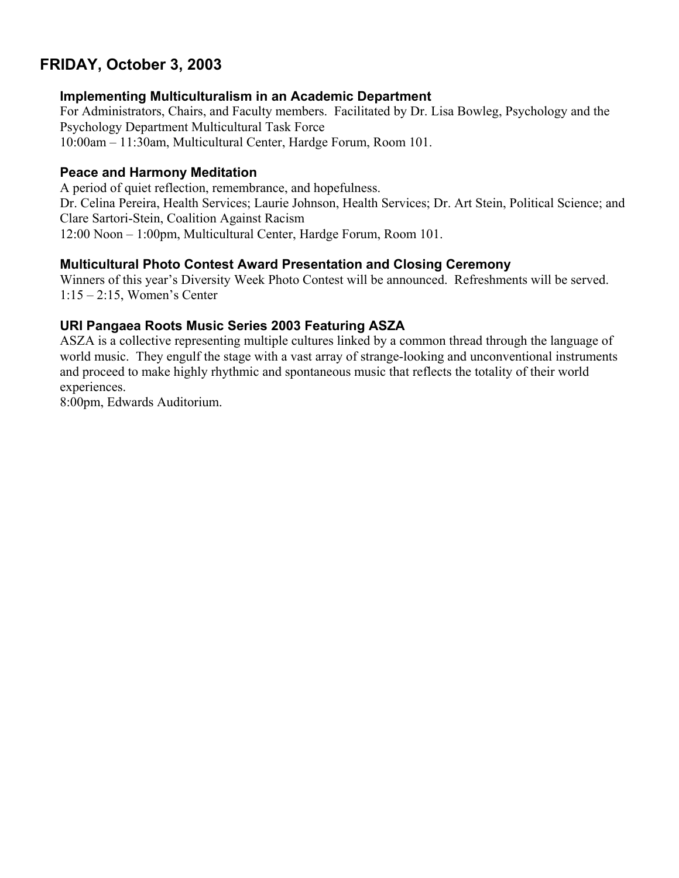# **FRIDAY, October 3, 2003**

### **Implementing Multiculturalism in an Academic Department**

For Administrators, Chairs, and Faculty members. Facilitated by Dr. Lisa Bowleg, Psychology and the Psychology Department Multicultural Task Force 10:00am – 11:30am, Multicultural Center, Hardge Forum, Room 101.

### **Peace and Harmony Meditation**

A period of quiet reflection, remembrance, and hopefulness.

Dr. Celina Pereira, Health Services; Laurie Johnson, Health Services; Dr. Art Stein, Political Science; and Clare Sartori-Stein, Coalition Against Racism

12:00 Noon – 1:00pm, Multicultural Center, Hardge Forum, Room 101.

### **Multicultural Photo Contest Award Presentation and Closing Ceremony**

Winners of this year's Diversity Week Photo Contest will be announced. Refreshments will be served. 1:15 – 2:15, Women's Center

### **URI Pangaea Roots Music Series 2003 Featuring ASZA**

ASZA is a collective representing multiple cultures linked by a common thread through the language of world music. They engulf the stage with a vast array of strange-looking and unconventional instruments and proceed to make highly rhythmic and spontaneous music that reflects the totality of their world experiences.

8:00pm, Edwards Auditorium.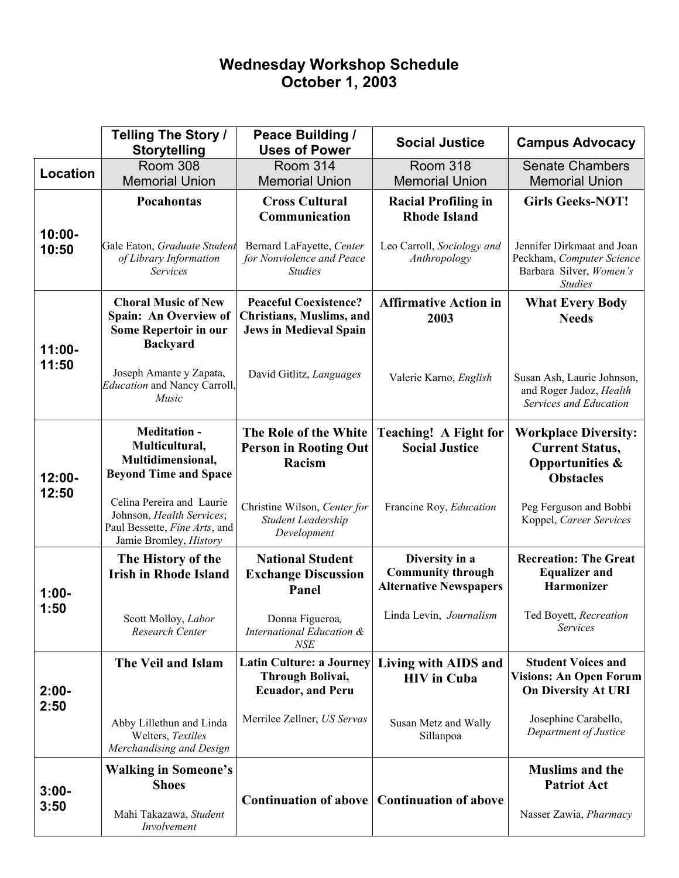# **Wednesday Workshop Schedule October 1, 2003**

|                    | <b>Telling The Story /</b><br><b>Storytelling</b>                                                                 | Peace Building /<br><b>Uses of Power</b>                                                         | <b>Social Justice</b>                                                       | <b>Campus Advocacy</b>                                                                                  |
|--------------------|-------------------------------------------------------------------------------------------------------------------|--------------------------------------------------------------------------------------------------|-----------------------------------------------------------------------------|---------------------------------------------------------------------------------------------------------|
| Location           | <b>Room 308</b>                                                                                                   | <b>Room 314</b>                                                                                  | <b>Room 318</b>                                                             | <b>Senate Chambers</b>                                                                                  |
|                    | <b>Memorial Union</b>                                                                                             | <b>Memorial Union</b>                                                                            | <b>Memorial Union</b>                                                       | <b>Memorial Union</b>                                                                                   |
| $10:00 -$<br>10:50 | Pocahontas                                                                                                        | <b>Cross Cultural</b><br>Communication                                                           | <b>Racial Profiling in</b><br><b>Rhode Island</b>                           | <b>Girls Geeks-NOT!</b>                                                                                 |
|                    | Gale Eaton, Graduate Student<br>of Library Information<br><b>Services</b>                                         | Bernard LaFayette, Center<br>for Nonviolence and Peace<br><b>Studies</b>                         | Leo Carroll, Sociology and<br>Anthropology                                  | Jennifer Dirkmaat and Joan<br>Peckham, Computer Science<br>Barbara Silver, Women's<br><b>Studies</b>    |
| $11:00 -$<br>11:50 | <b>Choral Music of New</b><br>Spain: An Overview of<br>Some Repertoir in our<br><b>Backyard</b>                   | <b>Peaceful Coexistence?</b><br><b>Christians, Muslims, and</b><br><b>Jews in Medieval Spain</b> | <b>Affirmative Action in</b><br>2003                                        | <b>What Every Body</b><br><b>Needs</b>                                                                  |
|                    | Joseph Amante y Zapata,<br><b>Education and Nancy Carroll,</b><br>Music                                           | David Gitlitz, Languages                                                                         | Valerie Karno, English                                                      | Susan Ash, Laurie Johnson,<br>and Roger Jadoz, Health<br>Services and Education                         |
| $12:00 -$<br>12:50 | <b>Meditation -</b><br>Multicultural,<br>Multidimensional,<br><b>Beyond Time and Space</b>                        | The Role of the White<br><b>Person in Rooting Out</b><br>Racism                                  | <b>Teaching!</b> A Fight for<br><b>Social Justice</b>                       | <b>Workplace Diversity:</b><br><b>Current Status,</b><br><b>Opportunities &amp;</b><br><b>Obstacles</b> |
|                    | Celina Pereira and Laurie<br>Johnson, Health Services;<br>Paul Bessette, Fine Arts, and<br>Jamie Bromley, History | Christine Wilson, Center for<br>Student Leadership<br>Development                                | Francine Roy, Education                                                     | Peg Ferguson and Bobbi<br>Koppel, Career Services                                                       |
| $1:00-$<br>1:50    | The History of the<br><b>Irish in Rhode Island</b>                                                                | <b>National Student</b><br><b>Exchange Discussion</b><br>Panel                                   | Diversity in a<br><b>Community through</b><br><b>Alternative Newspapers</b> | <b>Recreation: The Great</b><br><b>Equalizer and</b><br><b>Harmonizer</b>                               |
|                    | Scott Molloy, Labor<br>Research Center                                                                            | Donna Figueroa,<br>International Education &<br><b>NSE</b>                                       | Linda Levin, Journalism                                                     | Ted Boyett, Recreation<br><b>Services</b>                                                               |
| $2:00 -$<br>2:50   | The Veil and Islam                                                                                                | Latin Culture: a Journey<br>Through Bolivai,<br><b>Ecuador, and Peru</b>                         | Living with AIDS and<br><b>HIV</b> in Cuba                                  | <b>Student Voices and</b><br><b>Visions: An Open Forum</b><br><b>On Diversity At URI</b>                |
|                    | Abby Lillethun and Linda<br>Welters, Textiles<br>Merchandising and Design                                         | Merrilee Zellner, US Servas                                                                      | Susan Metz and Wally<br>Sillanpoa                                           | Josephine Carabello,<br>Department of Justice                                                           |
| $3:00 -$<br>3:50   | <b>Walking in Someone's</b><br><b>Shoes</b>                                                                       |                                                                                                  |                                                                             | <b>Muslims and the</b><br><b>Patriot Act</b>                                                            |
|                    | Mahi Takazawa, Student<br>Involvement                                                                             | <b>Continuation of above</b>                                                                     | <b>Continuation of above</b>                                                | Nasser Zawia, Pharmacy                                                                                  |